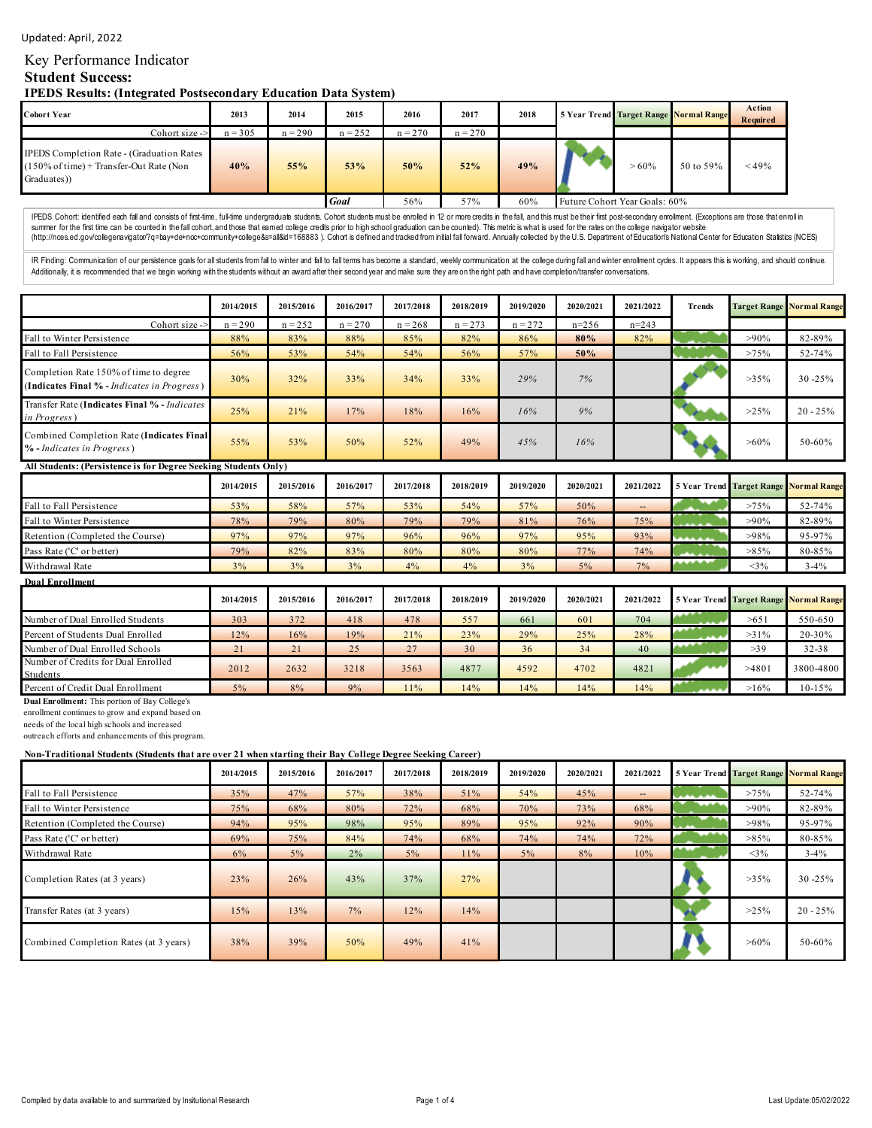#### Updated: April, 2022

# Key Performance Indicator

# **Student Success:**

**IPEDS Results: (Integrated Postsecondary Education Data System)**

| <b>Cohort Year</b>                                                                                                            | 2013      | 2014      | 2015      | 2016      | 2017                          | 2018 | 5 Year Trend Target Range Normal Range |           | <b>Action</b><br>Required |
|-------------------------------------------------------------------------------------------------------------------------------|-----------|-----------|-----------|-----------|-------------------------------|------|----------------------------------------|-----------|---------------------------|
| Cohort size ->                                                                                                                | $n = 305$ | $n = 290$ | $n = 252$ | $n = 270$ | $n = 270$                     |      |                                        |           |                           |
| <b>IPEDS</b> Completion Rate - (Graduation Rates)<br>$(150\% \text{ of time}) + \text{Transfer-Out Rate}$ (Non<br>Graduates)) | 40%       | 55%       | 53%       | 50%       | 52%                           | 49%  | $>60\%$                                | 50 to 59% | < 49%                     |
|                                                                                                                               | Goal      | 56%       | 57%       | 60%       | Future Cohort Year Goals: 60% |      |                                        |           |                           |

IPEDS Cohort: identified each fall and consists of frst-time, full-time undergraduate students. Cohort students must be enrolled in 12 or more credits in the fall, and this must be their first post-secondary errollment. (E summer for the first time can be counted in the fall cohort, and those that eamed college credits prior to high school graduation can be counted). This metric is what is used for the rates on the college navigator vebsite<br>

IR Finding: Communication of our persistence goals for all students from fall to winter and fall to fall terms has become a standard, weekly communication at the college during fall and winter enrollment cycles. It appears Additionally, it is recommended that we begin working with the students without an award after their second year and make sure they are on the right path and have completion/transfer conversations.

|                                                                                       | 2014/2015 | 2015/2016 | 2016/2017 | 2017/2018 | 2018/2019 | 2019/2020 | 2020/2021 | 2021/2022 | Trends |         | <b>Target Range Normal Range</b> |
|---------------------------------------------------------------------------------------|-----------|-----------|-----------|-----------|-----------|-----------|-----------|-----------|--------|---------|----------------------------------|
| Cohort size ->                                                                        | $n = 290$ | $n = 252$ | $n = 270$ | $n = 268$ | $n = 273$ | $n = 272$ | $n=256$   | $n=243$   |        |         |                                  |
| Fall to Winter Persistence                                                            | 88%       | 83%       | 88%       | 85%       | 82%       | 86%       | 80%       | 82%       |        | $>90\%$ | 82-89%                           |
| Fall to Fall Persistence                                                              | 56%       | 53%       | 54%       | 54%       | 56%       | 57%       | 50%       |           |        | >75%    | 52-74%                           |
| Completion Rate 150% of time to degree<br>(Indicates Final % - Indicates in Progress) | 30%       | 32%       | 33%       | 34%       | 33%       | 29%       | 7%        |           |        | $>35\%$ | $30 - 25%$                       |
| Transfer Rate (Indicates Final % - Indicates<br><i>in Progress</i> )                  | 25%       | 21%       | 17%       | 18%       | 16%       | 16%       | 9%        |           |        | $>25\%$ | $20 - 25%$                       |
| Combined Completion Rate (Indicates Final<br>% - Indicates in Progress)               | 55%       | 53%       | 50%       | 52%       | 49%       | 45%       | 16%       |           |        | $>60\%$ | 50-60%                           |
| All Students: (Persistence is for Degree Seeking Students Only)                       |           |           |           |           |           |           |           |           |        |         |                                  |

|                                  | 2014/2015 | 2015/2016 | 2016/2017 | 2017/2018 | 2018/2019 | 2019/2020 | 2020/2021 | 2021/2022 |        | 5 Year Trend Target Range Normal Range |          |
|----------------------------------|-----------|-----------|-----------|-----------|-----------|-----------|-----------|-----------|--------|----------------------------------------|----------|
| Fall to Fall Persistence         | 53%       | 58%       | 57%       | 53%       | 54%       | 57%       | 50%       | $-1$      |        | $>75\%$                                | 52-74%   |
| Fall to Winter Persistence       | 78%       | 79%       | 80%       | 79%       | 79%       | 81%       | 76%       | 75%       |        | $>90\%$                                | 82-89%   |
| Retention (Completed the Course) | 97%       | 97%       | 97%       | 96%       | 96%       | 97%       | 95%       | 93%       |        | >98%                                   | 95-97%   |
| Pass Rate ('C' or better)        | 79%       | 82%       | 83%       | 80%       | 80%       | 80%       | 77%       | 74%       | .      | $>85\%$                                | 80-85%   |
| Withdrawal Rate                  | 3%        | 3%        | 3%        | 4%        | 4%        | 3%        | 5%        | 7%        | ****** | $<$ 3%                                 | $3 - 4%$ |

| <b>Dual Enrollment</b>                          |           |           |           |           |           |           |           |           |                                               |            |
|-------------------------------------------------|-----------|-----------|-----------|-----------|-----------|-----------|-----------|-----------|-----------------------------------------------|------------|
|                                                 | 2014/2015 | 2015/2016 | 2016/2017 | 2017/2018 | 2018/2019 | 2019/2020 | 2020/2021 | 2021/2022 | <b>5 Year Trend Target Range Normal Range</b> |            |
| Number of Dual Enrolled Students                | 303       | 372       | 418       | 478       | 557       | 661       | 601       | 704       | >651                                          | 550-650    |
| Percent of Students Dual Enrolled               | 12%       | 16%       | 19%       | 21%       | 23%       | 29%       | 25%       | 28%       | $>31\%$                                       | 20-30%     |
| Number of Dual Enrolled Schools                 | 21        | 21        | 25        | 27        | 30        | 36        | 34        | 40        | >39                                           | $32 - 38$  |
| Number of Credits for Dual Enrolled<br>Students | 2012      | 2632      | 3218      | 3563      | 4877      | 4592      | 4702      | 4821      | >4801                                         | 3800-4800  |
| Percent of Credit Dual Enrollment               | 5%        | 8%        | 9%        | 11%       | 14%       | 14%       | 14%       | 14%       | $>16\%$                                       | $10 - 15%$ |

**Dual Enrollment:** This portion of Bay College's

enrollment continues to grow and expand based on

needs of the local high schools and increased

outreach efforts and enhancements of this program.

#### **Non-Traditional Students (Students that are over 21 when starting their Bay College Degree Seeking Career)**

|                                        | 2014/2015 | 2015/2016 | 2016/2017 | 2017/2018 | 2018/2019 | 2019/2020 | 2020/2021 | 2021/2022 |               | <b>5 Year Trend Target Range Normal Range</b> |            |
|----------------------------------------|-----------|-----------|-----------|-----------|-----------|-----------|-----------|-----------|---------------|-----------------------------------------------|------------|
| Fall to Fall Persistence               | 35%       | 47%       | 57%       | 38%       | 51%       | 54%       | 45%       | --        | بممام بالماري | >75%                                          | 52-74%     |
| Fall to Winter Persistence             | 75%       | 68%       | 80%       | 72%       | 68%       | 70%       | 73%       | 68%       |               | $>90\%$                                       | 82-89%     |
| Retention (Completed the Course)       | 94%       | 95%       | 98%       | 95%       | 89%       | 95%       | 92%       | 90%       |               | >98%                                          | 95-97%     |
| Pass Rate ('C' or better)              | 69%       | 75%       | 84%       | 74%       | 68%       | 74%       | 74%       | 72%       |               | $>85\%$                                       | 80-85%     |
| Withdrawal Rate                        | 6%        | 5%        | 2%        | 5%        | 11%       | 5%        | 8%        | 10%       |               | $3\%$                                         | $3 - 4\%$  |
| Completion Rates (at 3 years)          | 23%       | 26%       | 43%       | 37%       | 27%       |           |           |           |               | $>35\%$                                       | $30 - 25%$ |
| Transfer Rates (at 3 years)            | 15%       | 13%       | 7%        | 12%       | 14%       |           |           |           |               | $>25\%$                                       | $20 - 25%$ |
| Combined Completion Rates (at 3 years) | 38%       | 39%       | 50%       | 49%       | 41%       |           |           |           |               | $>60\%$                                       | 50-60%     |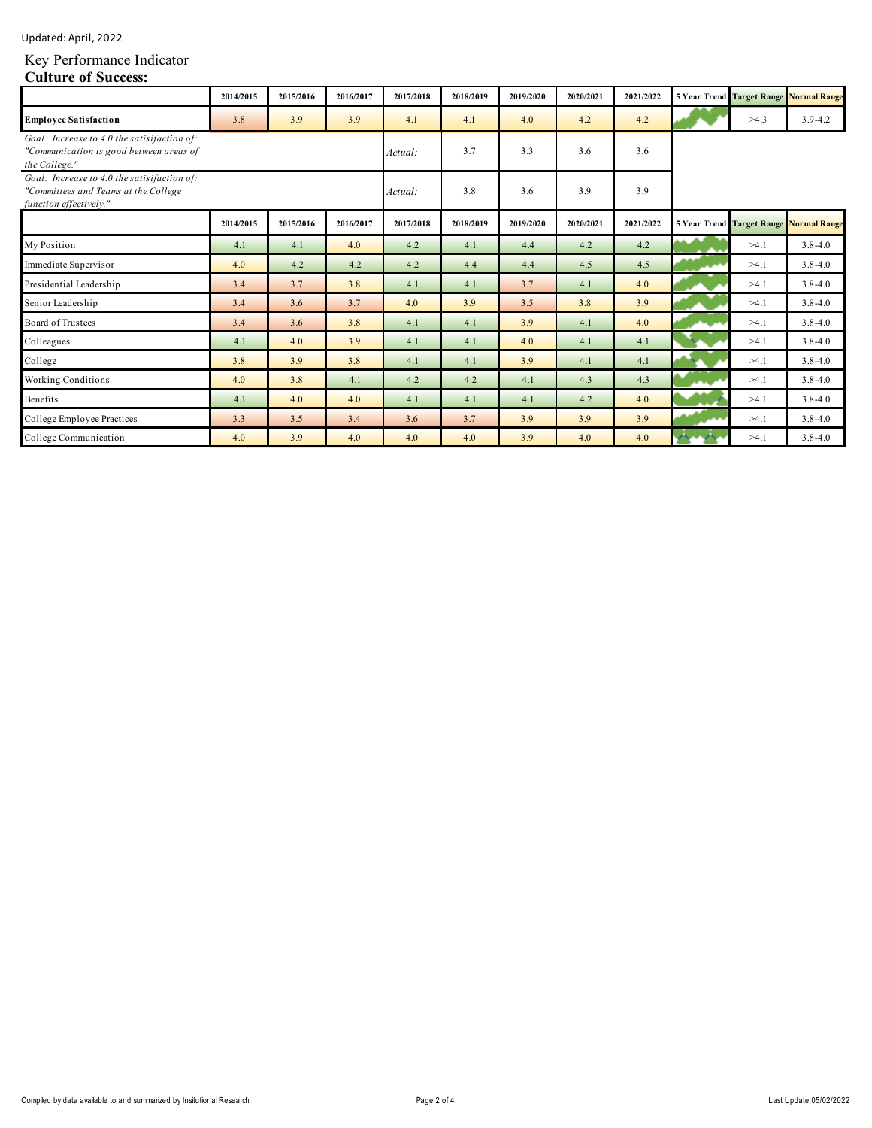| Updated: April, 2022 |  |
|----------------------|--|
|                      |  |

### Key Performance Indicator

#### **Culture of Success:**

|                                                                                                               | 2014/2015 | 2015/2016 | 2016/2017 | 2017/2018 | 2018/2019 | 2019/2020 | 2020/2021 | 2021/2022 |      | <b>5 Year Trend Target Range Normal Range</b> |
|---------------------------------------------------------------------------------------------------------------|-----------|-----------|-----------|-----------|-----------|-----------|-----------|-----------|------|-----------------------------------------------|
| <b>Employee Satisfaction</b>                                                                                  | 3.8       | 3.9       | 3.9       | 4.1       | 4.1       | 4.0       | 4.2       | 4.2       | >4.3 | $3.9 - 4.2$                                   |
| Goal: Increase to 4.0 the satisifaction of:<br>"Communication is good between areas of<br>the College."       |           |           |           | Actual:   | 3.7       | 3.3       | 3.6       | 3.6       |      |                                               |
| Goal: Increase to 4.0 the satisifaction of:<br>"Committees and Teams at the College<br>function effectively." |           |           |           | Actual:   | 3.8       | 3.6       | 3.9       | 3.9       |      |                                               |
|                                                                                                               | 2014/2015 | 2015/2016 | 2016/2017 | 2017/2018 | 2018/2019 | 2019/2020 | 2020/2021 | 2021/2022 |      | <b>5 Year Trend Target Range Normal Range</b> |
| My Position                                                                                                   | 4.1       | 4.1       | 4.0       | 4.2       | 4.1       | 4.4       | 4.2       | 4.2       | >4.1 | $3.8 - 4.0$                                   |
| Immediate Supervisor                                                                                          | 4.0       | 4.2       | 4.2       | 4.2       | 4.4       | 4.4       | 4.5       | 4.5       | >4.1 | $3.8 - 4.0$                                   |
| Presidential Leadership                                                                                       | 3.4       | 3.7       | 3.8       | 4.1       | 4.1       | 3.7       | 4.1       | 4.0       | >4.1 | $3.8 - 4.0$                                   |
| Senior Leadership                                                                                             | 3.4       | 3.6       | 3.7       | 4.0       | 3.9       | 3.5       | 3.8       | 3.9       | >4.1 | $3.8 - 4.0$                                   |
| Board of Trustees                                                                                             | 3.4       | 3.6       | 3.8       | 4.1       | 4.1       | 3.9       | 4.1       | 4.0       | >4.1 | $3.8 - 4.0$                                   |
| Colleagues                                                                                                    | 4.1       | 4.0       | 3.9       | 4.1       | 4.1       | 4.0       | 4.1       | 4.1       | >4.1 | $3.8 - 4.0$                                   |
| College                                                                                                       | 3.8       | 3.9       | 3.8       | 4.1       | 4.1       | 3.9       | 4.1       | 4.1       | >4.1 | $3.8 - 4.0$                                   |
| <b>Working Conditions</b>                                                                                     | 4.0       | 3.8       | 4.1       | 4.2       | 4.2       | 4.1       | 4.3       | 4.3       | >4.1 | $3.8 - 4.0$                                   |
| Benefits                                                                                                      | 4.1       | 4.0       | 4.0       | 4.1       | 4.1       | 4.1       | 4.2       | 4.0       | >4.1 | $3.8 - 4.0$                                   |
| College Employee Practices                                                                                    | 3.3       | 3.5       | 3.4       | 3.6       | 3.7       | 3.9       | 3.9       | 3.9       | >4.1 | $3.8 - 4.0$                                   |
| College Communication                                                                                         | 4.0       | 3.9       | 4.0       | 4.0       | 4.0       | 3.9       | 4.0       | 4.0       | >4.1 | $3.8 - 4.0$                                   |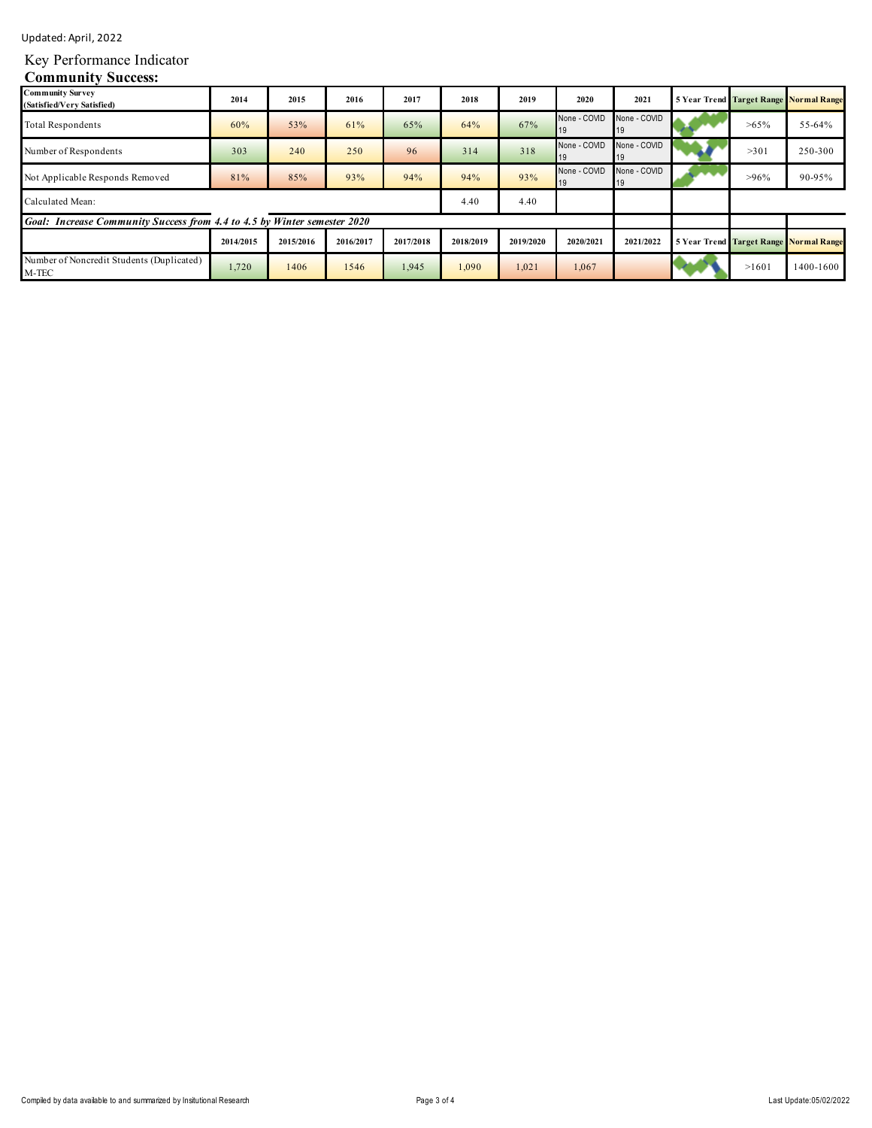Updated: April, 2022

# Key Performance Indicator

## **Community Success:**

| <b>Community Survey</b><br>(Satisfied/Very Satisfied)                    | 2014      | 2015      | 2016      | 2017      | 2018      | 2019      | 2020         | 2021               |         | <b>5 Year Trend Target Range Normal Range</b> |
|--------------------------------------------------------------------------|-----------|-----------|-----------|-----------|-----------|-----------|--------------|--------------------|---------|-----------------------------------------------|
| <b>Total Respondents</b>                                                 | 60%       | 53%       | 61%       | 65%       | 64%       | 67%       | None - COVID | None - COVID<br>19 | $>65\%$ | 55-64%                                        |
| Number of Respondents                                                    | 303       | 240       | 250       | 96        | 314       | 318       | None - COVID | None - COVID<br>19 | >301    | 250-300                                       |
| Not Applicable Responds Removed                                          | 81%       | 85%       | 93%       | 94%       | 94%       | 93%       | None - COVID | None - COVID<br>19 | $>96\%$ | 90-95%                                        |
| Calculated Mean:                                                         |           |           |           |           | 4.40      | 4.40      |              |                    |         |                                               |
| Goal: Increase Community Success from 4.4 to 4.5 by Winter semester 2020 |           |           |           |           |           |           |              |                    |         |                                               |
|                                                                          | 2014/2015 | 2015/2016 | 2016/2017 | 2017/2018 | 2018/2019 | 2019/2020 | 2020/2021    | 2021/2022          |         | <b>5 Year Trend Target Range Normal Range</b> |
| Number of Noncredit Students (Duplicated)<br>M-TEC                       | 1,720     | 1406      | 1546      | 1,945     | 1,090     | 1,021     | 1,067        |                    | >1601   | 1400-1600                                     |